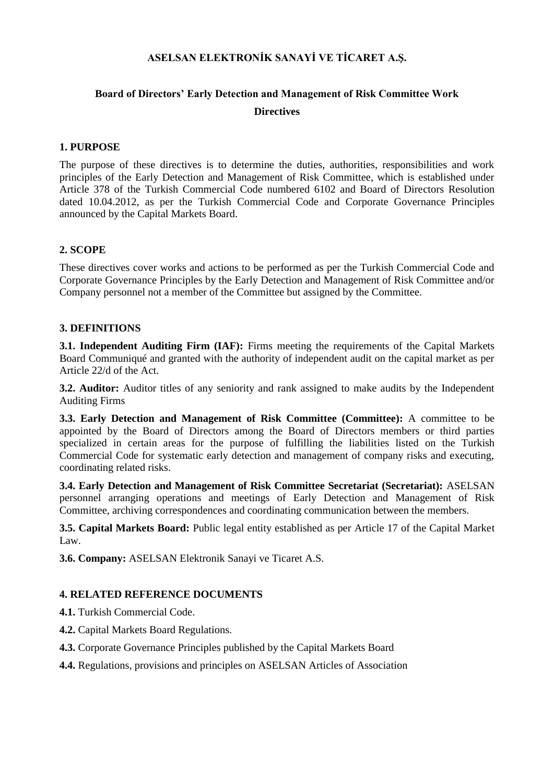### **ASELSAN ELEKTRONİK SANAYİ VE TİCARET A.Ş.**

# **Board of Directors' Early Detection and Management of Risk Committee Work Directives**

## **1. PURPOSE**

The purpose of these directives is to determine the duties, authorities, responsibilities and work principles of the Early Detection and Management of Risk Committee, which is established under Article 378 of the Turkish Commercial Code numbered 6102 and Board of Directors Resolution dated 10.04.2012, as per the Turkish Commercial Code and Corporate Governance Principles announced by the Capital Markets Board.

# **2. SCOPE**

These directives cover works and actions to be performed as per the Turkish Commercial Code and Corporate Governance Principles by the Early Detection and Management of Risk Committee and/or Company personnel not a member of the Committee but assigned by the Committee.

#### **3. DEFINITIONS**

**3.1. Independent Auditing Firm (IAF):** Firms meeting the requirements of the Capital Markets Board Communiqué and granted with the authority of independent audit on the capital market as per Article 22/d of the Act.

**3.2. Auditor:** Auditor titles of any seniority and rank assigned to make audits by the Independent Auditing Firms

**3.3. Early Detection and Management of Risk Committee (Committee):** A committee to be appointed by the Board of Directors among the Board of Directors members or third parties specialized in certain areas for the purpose of fulfilling the liabilities listed on the Turkish Commercial Code for systematic early detection and management of company risks and executing, coordinating related risks.

**3.4. Early Detection and Management of Risk Committee Secretariat (Secretariat):** ASELSAN personnel arranging operations and meetings of Early Detection and Management of Risk Committee, archiving correspondences and coordinating communication between the members.

**3.5. Capital Markets Board:** Public legal entity established as per Article 17 of the Capital Market Law.

**3.6. Company:** ASELSAN Elektronik Sanayi ve Ticaret A.S.

#### **4. RELATED REFERENCE DOCUMENTS**

**4.1.** Turkish Commercial Code.

- **4.2.** Capital Markets Board Regulations.
- **4.3.** Corporate Governance Principles published by the Capital Markets Board
- **4.4.** Regulations, provisions and principles on ASELSAN Articles of Association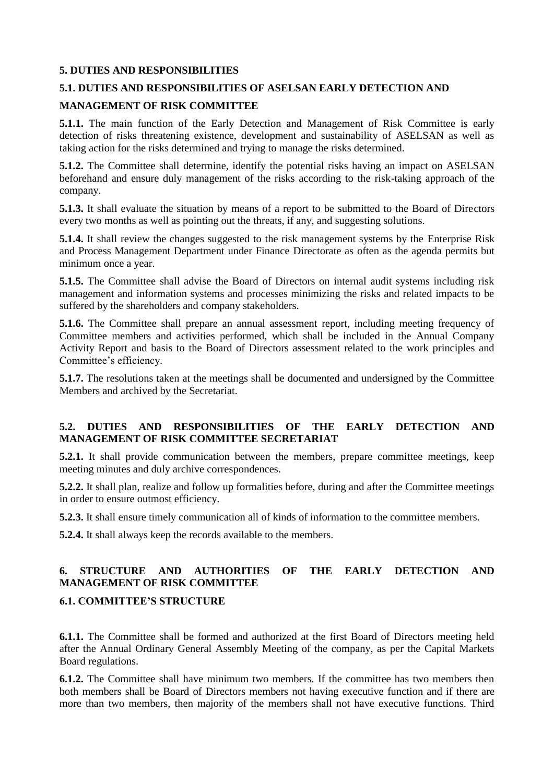# **5. DUTIES AND RESPONSIBILITIES**

# **5.1. DUTIES AND RESPONSIBILITIES OF ASELSAN EARLY DETECTION AND**

## **MANAGEMENT OF RISK COMMITTEE**

**5.1.1.** The main function of the Early Detection and Management of Risk Committee is early detection of risks threatening existence, development and sustainability of ASELSAN as well as taking action for the risks determined and trying to manage the risks determined.

**5.1.2.** The Committee shall determine, identify the potential risks having an impact on ASELSAN beforehand and ensure duly management of the risks according to the risk-taking approach of the company.

**5.1.3.** It shall evaluate the situation by means of a report to be submitted to the Board of Directors every two months as well as pointing out the threats, if any, and suggesting solutions.

**5.1.4.** It shall review the changes suggested to the risk management systems by the Enterprise Risk and Process Management Department under Finance Directorate as often as the agenda permits but minimum once a year.

**5.1.5.** The Committee shall advise the Board of Directors on internal audit systems including risk management and information systems and processes minimizing the risks and related impacts to be suffered by the shareholders and company stakeholders.

**5.1.6.** The Committee shall prepare an annual assessment report, including meeting frequency of Committee members and activities performed, which shall be included in the Annual Company Activity Report and basis to the Board of Directors assessment related to the work principles and Committee's efficiency.

**5.1.7.** The resolutions taken at the meetings shall be documented and undersigned by the Committee Members and archived by the Secretariat.

# **5.2. DUTIES AND RESPONSIBILITIES OF THE EARLY DETECTION AND MANAGEMENT OF RISK COMMITTEE SECRETARIAT**

**5.2.1.** It shall provide communication between the members, prepare committee meetings, keep meeting minutes and duly archive correspondences.

**5.2.2.** It shall plan, realize and follow up formalities before, during and after the Committee meetings in order to ensure outmost efficiency.

**5.2.3.** It shall ensure timely communication all of kinds of information to the committee members.

**5.2.4.** It shall always keep the records available to the members.

# **6. STRUCTURE AND AUTHORITIES OF THE EARLY DETECTION AND MANAGEMENT OF RISK COMMITTEE**

#### **6.1. COMMITTEE'S STRUCTURE**

**6.1.1.** The Committee shall be formed and authorized at the first Board of Directors meeting held after the Annual Ordinary General Assembly Meeting of the company, as per the Capital Markets Board regulations.

**6.1.2.** The Committee shall have minimum two members. If the committee has two members then both members shall be Board of Directors members not having executive function and if there are more than two members, then majority of the members shall not have executive functions. Third